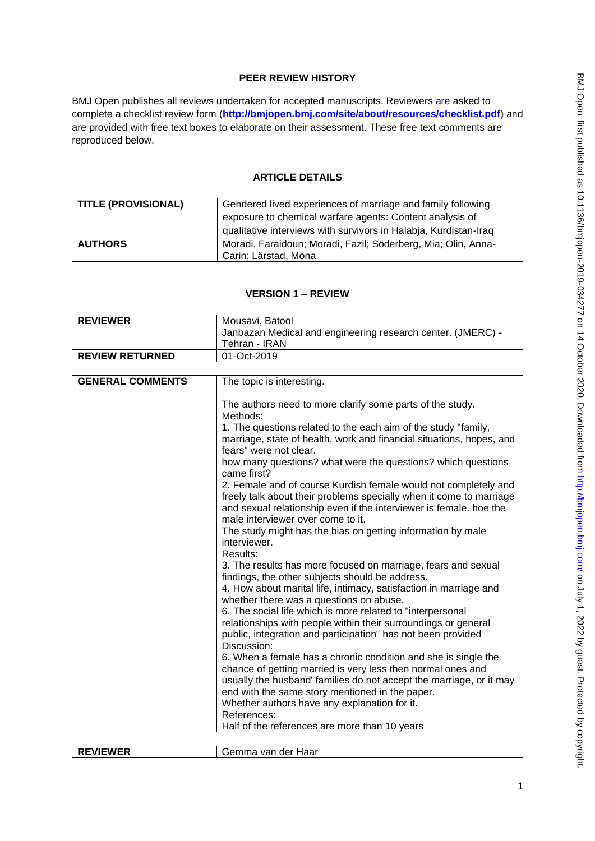# **PEER REVIEW HISTORY**

BMJ Open publishes all reviews undertaken for accepted manuscripts. Reviewers are asked to complete a checklist review form (**[http://bmjopen.bmj.com/site/about/resources/checklist.pdf\)](http://bmjopen.bmj.com/site/about/resources/checklist.pdf)** and are provided with free text boxes to elaborate on their assessment. These free text comments are reproduced below.

# **ARTICLE DETAILS**

| <b>TITLE (PROVISIONAL)</b> | Gendered lived experiences of marriage and family following<br>exposure to chemical warfare agents: Content analysis of<br>qualitative interviews with survivors in Halabja, Kurdistan-Iraq |
|----------------------------|---------------------------------------------------------------------------------------------------------------------------------------------------------------------------------------------|
| <b>AUTHORS</b>             | Moradi, Faraidoun; Moradi, Fazil; Söderberg, Mia; Olin, Anna-<br>Carin; Lärstad, Mona                                                                                                       |

### **VERSION 1 – REVIEW**

| <b>REVIEWER</b>         | Mousavi, Batool                                                                                                                                                                                                                                   |
|-------------------------|---------------------------------------------------------------------------------------------------------------------------------------------------------------------------------------------------------------------------------------------------|
|                         | Janbazan Medical and engineering research center. (JMERC) -                                                                                                                                                                                       |
|                         | Tehran - IRAN                                                                                                                                                                                                                                     |
| <b>REVIEW RETURNED</b>  | 01-Oct-2019                                                                                                                                                                                                                                       |
|                         |                                                                                                                                                                                                                                                   |
| <b>GENERAL COMMENTS</b> | The topic is interesting.                                                                                                                                                                                                                         |
|                         | The authors need to more clarify some parts of the study.<br>Methods:                                                                                                                                                                             |
|                         | 1. The questions related to the each aim of the study "family,<br>marriage, state of health, work and financial situations, hopes, and<br>fears" were not clear.                                                                                  |
|                         | how many questions? what were the questions? which questions<br>came first?                                                                                                                                                                       |
|                         | 2. Female and of course Kurdish female would not completely and<br>freely talk about their problems specially when it come to marriage<br>and sexual relationship even if the interviewer is female. hoe the<br>male interviewer over come to it. |
|                         | The study might has the bias on getting information by male<br>interviewer.<br>Results:                                                                                                                                                           |
|                         | 3. The results has more focused on marriage, fears and sexual<br>findings, the other subjects should be address.                                                                                                                                  |
|                         | 4. How about marital life, intimacy, satisfaction in marriage and<br>whether there was a questions on abuse.                                                                                                                                      |
|                         | 6. The social life which is more related to "interpersonal                                                                                                                                                                                        |
|                         | relationships with people within their surroundings or general<br>public, integration and participation" has not been provided<br>Discussion:                                                                                                     |
|                         | 6. When a female has a chronic condition and she is single the                                                                                                                                                                                    |
|                         | chance of getting married is very less then normal ones and                                                                                                                                                                                       |
|                         | usually the husband' families do not accept the marriage, or it may                                                                                                                                                                               |
|                         | end with the same story mentioned in the paper.                                                                                                                                                                                                   |
|                         | Whether authors have any explanation for it.<br>References:                                                                                                                                                                                       |
|                         | Half of the references are more than 10 years                                                                                                                                                                                                     |
|                         |                                                                                                                                                                                                                                                   |

| $-1$<br>-- | Haar<br>. н.<br>$V$ $I$ |
|------------|-------------------------|
|            |                         |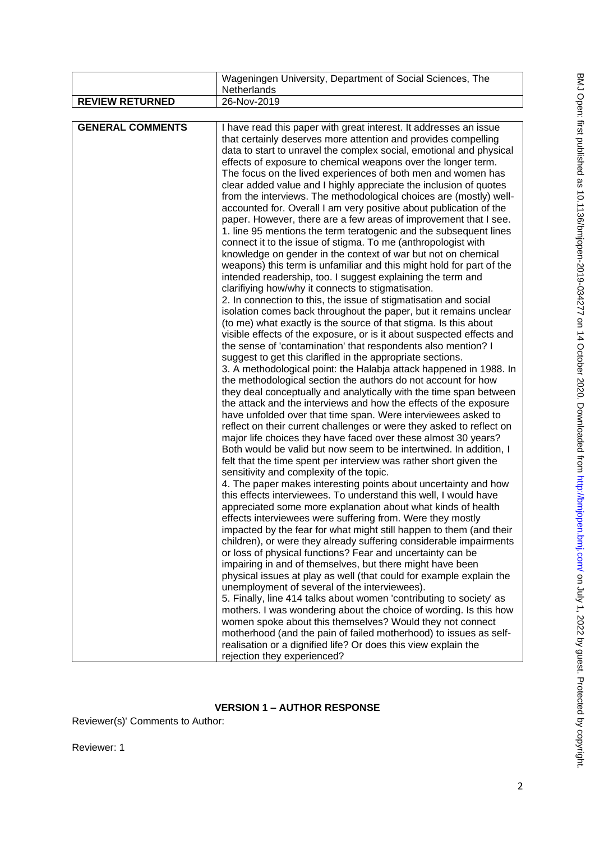|                         | Wageningen University, Department of Social Sciences, The                                                                                                                                                                                                                                                                                                                                                                                                                                                                                                                                                                                                                                                                                                                                                                                                                                                                                                                                                                                                                                                                                                                                                                                                                                                                                                                                                                                                                                                                                                                                                                                                                                                                                                                                                                                                                                                                                                                                                                                                                                                                                                                                                                                                                                                                                                                                                                                                                                                                                                                                                                                                                                                                                                                                                                                                                                                                                                                                                                                                                                                                                                                                         |
|-------------------------|---------------------------------------------------------------------------------------------------------------------------------------------------------------------------------------------------------------------------------------------------------------------------------------------------------------------------------------------------------------------------------------------------------------------------------------------------------------------------------------------------------------------------------------------------------------------------------------------------------------------------------------------------------------------------------------------------------------------------------------------------------------------------------------------------------------------------------------------------------------------------------------------------------------------------------------------------------------------------------------------------------------------------------------------------------------------------------------------------------------------------------------------------------------------------------------------------------------------------------------------------------------------------------------------------------------------------------------------------------------------------------------------------------------------------------------------------------------------------------------------------------------------------------------------------------------------------------------------------------------------------------------------------------------------------------------------------------------------------------------------------------------------------------------------------------------------------------------------------------------------------------------------------------------------------------------------------------------------------------------------------------------------------------------------------------------------------------------------------------------------------------------------------------------------------------------------------------------------------------------------------------------------------------------------------------------------------------------------------------------------------------------------------------------------------------------------------------------------------------------------------------------------------------------------------------------------------------------------------------------------------------------------------------------------------------------------------------------------------------------------------------------------------------------------------------------------------------------------------------------------------------------------------------------------------------------------------------------------------------------------------------------------------------------------------------------------------------------------------------------------------------------------------------------------------------------------------|
|                         | Netherlands                                                                                                                                                                                                                                                                                                                                                                                                                                                                                                                                                                                                                                                                                                                                                                                                                                                                                                                                                                                                                                                                                                                                                                                                                                                                                                                                                                                                                                                                                                                                                                                                                                                                                                                                                                                                                                                                                                                                                                                                                                                                                                                                                                                                                                                                                                                                                                                                                                                                                                                                                                                                                                                                                                                                                                                                                                                                                                                                                                                                                                                                                                                                                                                       |
| <b>REVIEW RETURNED</b>  | 26-Nov-2019                                                                                                                                                                                                                                                                                                                                                                                                                                                                                                                                                                                                                                                                                                                                                                                                                                                                                                                                                                                                                                                                                                                                                                                                                                                                                                                                                                                                                                                                                                                                                                                                                                                                                                                                                                                                                                                                                                                                                                                                                                                                                                                                                                                                                                                                                                                                                                                                                                                                                                                                                                                                                                                                                                                                                                                                                                                                                                                                                                                                                                                                                                                                                                                       |
|                         |                                                                                                                                                                                                                                                                                                                                                                                                                                                                                                                                                                                                                                                                                                                                                                                                                                                                                                                                                                                                                                                                                                                                                                                                                                                                                                                                                                                                                                                                                                                                                                                                                                                                                                                                                                                                                                                                                                                                                                                                                                                                                                                                                                                                                                                                                                                                                                                                                                                                                                                                                                                                                                                                                                                                                                                                                                                                                                                                                                                                                                                                                                                                                                                                   |
| <b>GENERAL COMMENTS</b> | I have read this paper with great interest. It addresses an issue<br>that certainly deserves more attention and provides compelling<br>data to start to unravel the complex social, emotional and physical<br>effects of exposure to chemical weapons over the longer term.<br>The focus on the lived experiences of both men and women has<br>clear added value and I highly appreciate the inclusion of quotes<br>from the interviews. The methodological choices are (mostly) well-<br>accounted for. Overall I am very positive about publication of the<br>paper. However, there are a few areas of improvement that I see.<br>1. line 95 mentions the term teratogenic and the subsequent lines<br>connect it to the issue of stigma. To me (anthropologist with<br>knowledge on gender in the context of war but not on chemical<br>weapons) this term is unfamiliar and this might hold for part of the<br>intended readership, too. I suggest explaining the term and<br>clarifiying how/why it connects to stigmatisation.<br>2. In connection to this, the issue of stigmatisation and social<br>isolation comes back throughout the paper, but it remains unclear<br>(to me) what exactly is the source of that stigma. Is this about<br>visible effects of the exposure, or is it about suspected effects and<br>the sense of 'contamination' that respondents also mention? I<br>suggest to get this clarifled in the appropriate sections.<br>3. A methodological point: the Halabja attack happened in 1988. In<br>the methodological section the authors do not account for how<br>they deal conceptually and analytically with the time span between<br>the attack and the interviews and how the effects of the exposure<br>have unfolded over that time span. Were interviewees asked to<br>reflect on their current challenges or were they asked to reflect on<br>major life choices they have faced over these almost 30 years?<br>Both would be valid but now seem to be intertwined. In addition, I<br>felt that the time spent per interview was rather short given the<br>sensitivity and complexity of the topic.<br>4. The paper makes interesting points about uncertainty and how<br>this effects interviewees. To understand this well, I would have<br>appreciated some more explanation about what kinds of health<br>effects interviewees were suffering from. Were they mostly<br>impacted by the fear for what might still happen to them (and their<br>children), or were they already suffering considerable impairments<br>or loss of physical functions? Fear and uncertainty can be<br>impairing in and of themselves, but there might have been<br>physical issues at play as well (that could for example explain the<br>unemployment of several of the interviewees).<br>5. Finally, line 414 talks about women 'contributing to society' as<br>mothers. I was wondering about the choice of wording. Is this how<br>women spoke about this themselves? Would they not connect<br>motherhood (and the pain of failed motherhood) to issues as self-<br>realisation or a dignified life? Or does this view explain the<br>rejection they experienced? |

# **VERSION 1 – AUTHOR RESPONSE**

Reviewer(s)' Comments to Author:

Reviewer: 1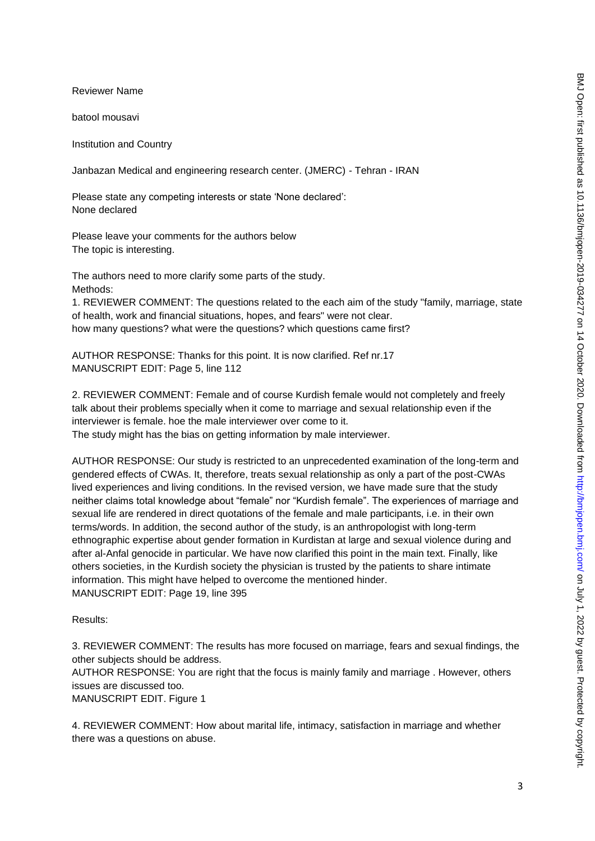Reviewer Name

batool mousavi

Institution and Country

Janbazan Medical and engineering research center. (JMERC) - Tehran - IRAN

Please state any competing interests or state 'None declared': None declared

Please leave your comments for the authors below The topic is interesting.

The authors need to more clarify some parts of the study. Methods:

1. REVIEWER COMMENT: The questions related to the each aim of the study "family, marriage, state of health, work and financial situations, hopes, and fears" were not clear. how many questions? what were the questions? which questions came first?

AUTHOR RESPONSE: Thanks for this point. It is now clarified. Ref nr.17 MANUSCRIPT EDIT: Page 5, line 112

2. REVIEWER COMMENT: Female and of course Kurdish female would not completely and freely talk about their problems specially when it come to marriage and sexual relationship even if the interviewer is female. hoe the male interviewer over come to it. The study might has the bias on getting information by male interviewer.

AUTHOR RESPONSE: Our study is restricted to an unprecedented examination of the long-term and gendered effects of CWAs. It, therefore, treats sexual relationship as only a part of the post-CWAs lived experiences and living conditions. In the revised version, we have made sure that the study neither claims total knowledge about "female" nor "Kurdish female". The experiences of marriage and sexual life are rendered in direct quotations of the female and male participants, i.e. in their own terms/words. In addition, the second author of the study, is an anthropologist with long-term ethnographic expertise about gender formation in Kurdistan at large and sexual violence during and after al-Anfal genocide in particular. We have now clarified this point in the main text. Finally, like others societies, in the Kurdish society the physician is trusted by the patients to share intimate information. This might have helped to overcome the mentioned hinder. MANUSCRIPT EDIT: Page 19, line 395

#### Results:

3. REVIEWER COMMENT: The results has more focused on marriage, fears and sexual findings, the other subjects should be address.

AUTHOR RESPONSE: You are right that the focus is mainly family and marriage . However, others issues are discussed too.

MANUSCRIPT EDIT. Figure 1

4. REVIEWER COMMENT: How about marital life, intimacy, satisfaction in marriage and whether there was a questions on abuse.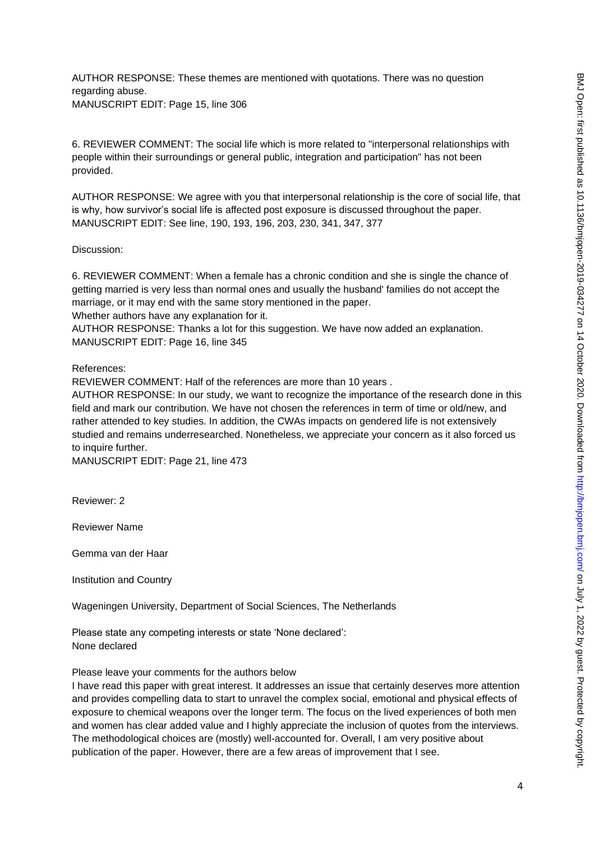AUTHOR RESPONSE: These themes are mentioned with quotations. There was no question regarding abuse. MANUSCRIPT EDIT: Page 15, line 306

6. REVIEWER COMMENT: The social life which is more related to "interpersonal relationships with people within their surroundings or general public, integration and participation" has not been provided.

AUTHOR RESPONSE: We agree with you that interpersonal relationship is the core of social life, that is why, how survivor's social life is affected post exposure is discussed throughout the paper. MANUSCRIPT EDIT: See line, 190, 193, 196, 203, 230, 341, 347, 377

Discussion:

6. REVIEWER COMMENT: When a female has a chronic condition and she is single the chance of getting married is very less than normal ones and usually the husband' families do not accept the marriage, or it may end with the same story mentioned in the paper. Whether authors have any explanation for it.

AUTHOR RESPONSE: Thanks a lot for this suggestion. We have now added an explanation. MANUSCRIPT EDIT: Page 16, line 345

References:

REVIEWER COMMENT: Half of the references are more than 10 years .

AUTHOR RESPONSE: In our study, we want to recognize the importance of the research done in this field and mark our contribution. We have not chosen the references in term of time or old/new, and rather attended to key studies. In addition, the CWAs impacts on gendered life is not extensively studied and remains underresearched. Nonetheless, we appreciate your concern as it also forced us to inquire further.

MANUSCRIPT EDIT: Page 21, line 473

Reviewer: 2

Reviewer Name

Gemma van der Haar

Institution and Country

Wageningen University, Department of Social Sciences, The Netherlands

Please state any competing interests or state 'None declared': None declared

Please leave your comments for the authors below

I have read this paper with great interest. It addresses an issue that certainly deserves more attention and provides compelling data to start to unravel the complex social, emotional and physical effects of exposure to chemical weapons over the longer term. The focus on the lived experiences of both men and women has clear added value and I highly appreciate the inclusion of quotes from the interviews. The methodological choices are (mostly) well-accounted for. Overall, I am very positive about publication of the paper. However, there are a few areas of improvement that I see.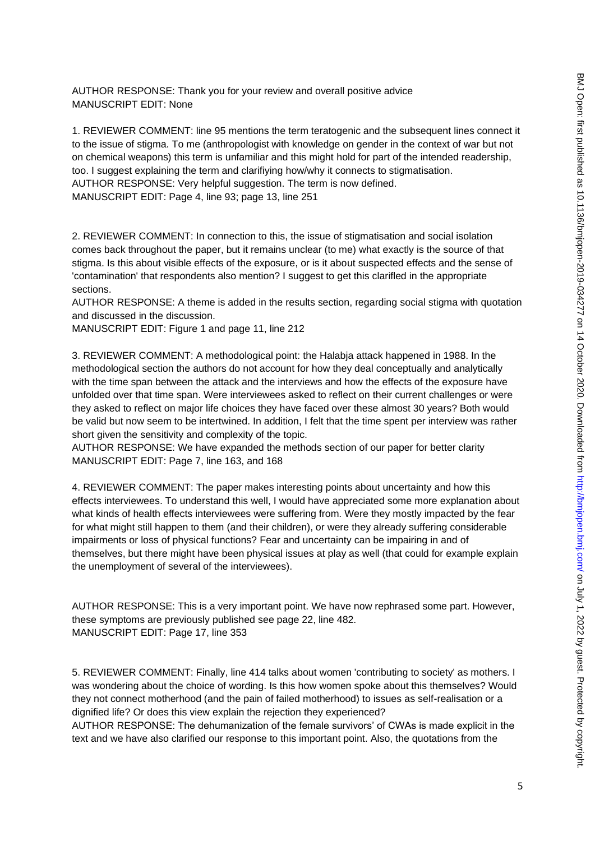AUTHOR RESPONSE: Thank you for your review and overall positive advice MANUSCRIPT EDIT: None

1. REVIEWER COMMENT: line 95 mentions the term teratogenic and the subsequent lines connect it to the issue of stigma. To me (anthropologist with knowledge on gender in the context of war but not on chemical weapons) this term is unfamiliar and this might hold for part of the intended readership, too. I suggest explaining the term and clarifiying how/why it connects to stigmatisation. AUTHOR RESPONSE: Very helpful suggestion. The term is now defined. MANUSCRIPT EDIT: Page 4, line 93; page 13, line 251

2. REVIEWER COMMENT: In connection to this, the issue of stigmatisation and social isolation comes back throughout the paper, but it remains unclear (to me) what exactly is the source of that stigma. Is this about visible effects of the exposure, or is it about suspected effects and the sense of 'contamination' that respondents also mention? I suggest to get this clarifled in the appropriate sections.

AUTHOR RESPONSE: A theme is added in the results section, regarding social stigma with quotation and discussed in the discussion.

MANUSCRIPT EDIT: Figure 1 and page 11, line 212

3. REVIEWER COMMENT: A methodological point: the Halabja attack happened in 1988. In the methodological section the authors do not account for how they deal conceptually and analytically with the time span between the attack and the interviews and how the effects of the exposure have unfolded over that time span. Were interviewees asked to reflect on their current challenges or were they asked to reflect on major life choices they have faced over these almost 30 years? Both would be valid but now seem to be intertwined. In addition, I felt that the time spent per interview was rather short given the sensitivity and complexity of the topic.

AUTHOR RESPONSE: We have expanded the methods section of our paper for better clarity MANUSCRIPT EDIT: Page 7, line 163, and 168

4. REVIEWER COMMENT: The paper makes interesting points about uncertainty and how this effects interviewees. To understand this well, I would have appreciated some more explanation about what kinds of health effects interviewees were suffering from. Were they mostly impacted by the fear for what might still happen to them (and their children), or were they already suffering considerable impairments or loss of physical functions? Fear and uncertainty can be impairing in and of themselves, but there might have been physical issues at play as well (that could for example explain the unemployment of several of the interviewees).

AUTHOR RESPONSE: This is a very important point. We have now rephrased some part. However, these symptoms are previously published see page 22, line 482. MANUSCRIPT EDIT: Page 17, line 353

5. REVIEWER COMMENT: Finally, line 414 talks about women 'contributing to society' as mothers. I was wondering about the choice of wording. Is this how women spoke about this themselves? Would they not connect motherhood (and the pain of failed motherhood) to issues as self-realisation or a dignified life? Or does this view explain the rejection they experienced?

AUTHOR RESPONSE: The dehumanization of the female survivors' of CWAs is made explicit in the text and we have also clarified our response to this important point. Also, the quotations from the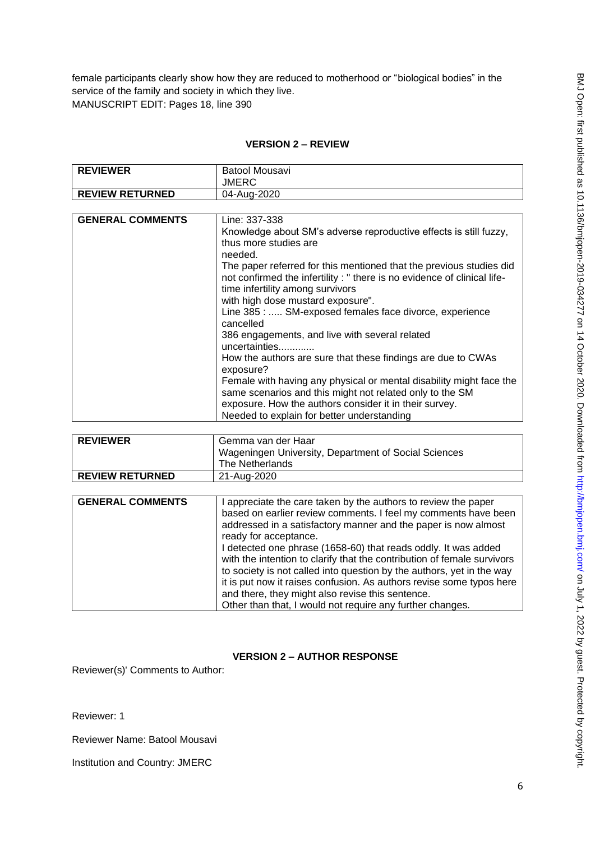female participants clearly show how they are reduced to motherhood or "biological bodies" in the service of the family and society in which they live. MANUSCRIPT EDIT: Pages 18, line 390

# **VERSION 2 – REVIEW**

| <b>REVIEWER</b>         | Batool Mousavi                                                    |
|-------------------------|-------------------------------------------------------------------|
|                         | JMERC                                                             |
| <b>REVIEW RETURNED</b>  | 04-Aug-2020                                                       |
|                         |                                                                   |
| <b>GENERAL COMMENTS</b> | Line: 337-338                                                     |
|                         | Knowledge about SM's adverse reproductive effects is still fuzzy, |
|                         | thus more studies are                                             |
|                         |                                                                   |

| needed.                                                                  |
|--------------------------------------------------------------------------|
| The paper referred for this mentioned that the previous studies did      |
| not confirmed the infertility : " there is no evidence of clinical life- |
| time infertility among survivors                                         |
| with high dose mustard exposure".                                        |
| Line 385 :  SM-exposed females face divorce, experience                  |
| cancelled                                                                |
| 386 engagements, and live with several related                           |
| uncertainties                                                            |
| How the authors are sure that these findings are due to CWAs             |
| exposure?                                                                |
| Female with having any physical or mental disability might face the      |
| same scenarios and this might not related only to the SM                 |
| exposure. How the authors consider it in their survey.                   |
| Needed to explain for better understanding                               |

| <b>REVIEWER</b>        | Gemma van der Haar                                   |
|------------------------|------------------------------------------------------|
|                        | Wageningen University, Department of Social Sciences |
|                        | The Netherlands                                      |
| <b>REVIEW RETURNED</b> | 21-Aug-2020                                          |

| <b>GENERAL COMMENTS</b> | I appreciate the care taken by the authors to review the paper<br>based on earlier review comments. I feel my comments have been<br>addressed in a satisfactory manner and the paper is now almost |
|-------------------------|----------------------------------------------------------------------------------------------------------------------------------------------------------------------------------------------------|
|                         | ready for acceptance.                                                                                                                                                                              |
|                         | I detected one phrase (1658-60) that reads oddly. It was added                                                                                                                                     |
|                         | with the intention to clarify that the contribution of female survivors                                                                                                                            |
|                         | to society is not called into question by the authors, yet in the way                                                                                                                              |
|                         | it is put now it raises confusion. As authors revise some typos here                                                                                                                               |
|                         | and there, they might also revise this sentence.                                                                                                                                                   |
|                         | Other than that, I would not require any further changes.                                                                                                                                          |

# **VERSION 2 – AUTHOR RESPONSE**

Reviewer(s)' Comments to Author:

Reviewer: 1

Reviewer Name: Batool Mousavi

Institution and Country: JMERC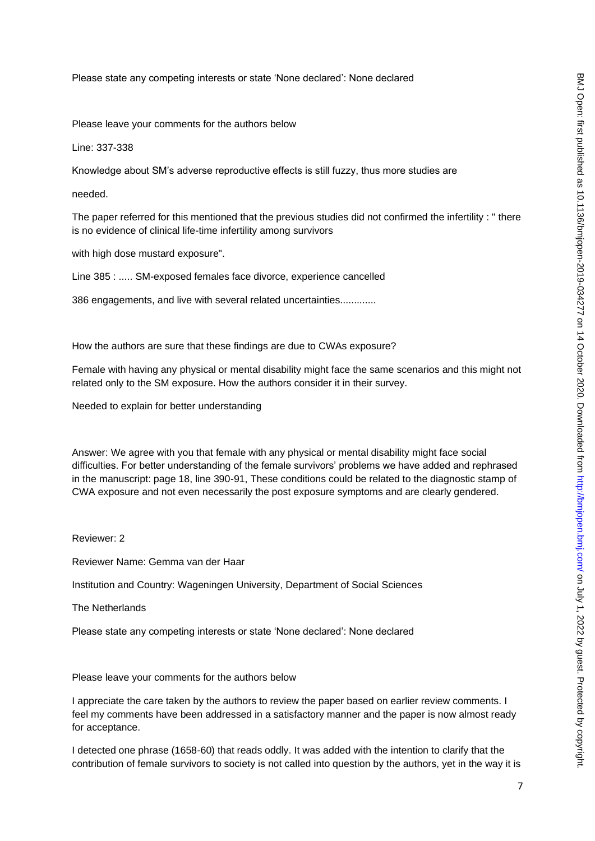Please state any competing interests or state 'None declared': None declared

Please leave your comments for the authors below

Line: 337-338

Knowledge about SM's adverse reproductive effects is still fuzzy, thus more studies are

needed.

The paper referred for this mentioned that the previous studies did not confirmed the infertility : " there is no evidence of clinical life-time infertility among survivors

with high dose mustard exposure".

Line 385 : ..... SM-exposed females face divorce, experience cancelled

386 engagements, and live with several related uncertainties.............

How the authors are sure that these findings are due to CWAs exposure?

Female with having any physical or mental disability might face the same scenarios and this might not related only to the SM exposure. How the authors consider it in their survey.

Needed to explain for better understanding

Answer: We agree with you that female with any physical or mental disability might face social difficulties. For better understanding of the female survivors' problems we have added and rephrased in the manuscript: page 18, line 390-91, These conditions could be related to the diagnostic stamp of CWA exposure and not even necessarily the post exposure symptoms and are clearly gendered.

Reviewer: 2

Reviewer Name: Gemma van der Haar

Institution and Country: Wageningen University, Department of Social Sciences

The Netherlands

Please state any competing interests or state 'None declared': None declared

Please leave your comments for the authors below

I appreciate the care taken by the authors to review the paper based on earlier review comments. I feel my comments have been addressed in a satisfactory manner and the paper is now almost ready for acceptance.

I detected one phrase (1658-60) that reads oddly. It was added with the intention to clarify that the contribution of female survivors to society is not called into question by the authors, yet in the way it is